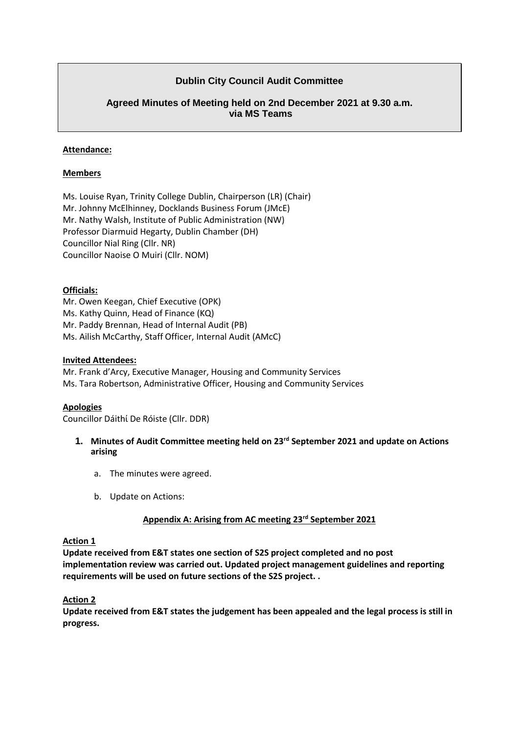# **Dublin City Council Audit Committee**

# **Agreed Minutes of Meeting held on 2nd December 2021 at 9.30 a.m. via MS Teams**

#### **Attendance:**

#### **Members**

Ms. Louise Ryan, Trinity College Dublin, Chairperson (LR) (Chair) Mr. Johnny McElhinney, Docklands Business Forum (JMcE) Mr. Nathy Walsh, Institute of Public Administration (NW) Professor Diarmuid Hegarty, Dublin Chamber (DH) Councillor Nial Ring (Cllr. NR) Councillor Naoise O Muiri (Cllr. NOM)

#### **Officials:**

Mr. Owen Keegan, Chief Executive (OPK) Ms. Kathy Quinn, Head of Finance (KQ) Mr. Paddy Brennan, Head of Internal Audit (PB) Ms. Ailish McCarthy, Staff Officer, Internal Audit (AMcC)

#### **Invited Attendees:**

Mr. Frank d'Arcy, Executive Manager, Housing and Community Services Ms. Tara Robertson, Administrative Officer, Housing and Community Services

#### **Apologies**

Councillor Dáithί De Róiste (Cllr. DDR)

- **1. Minutes of Audit Committee meeting held on 23rd September 2021 and update on Actions arising**
	- a. The minutes were agreed.
	- b. Update on Actions:

# **Appendix A: Arising from AC meeting 23rd September 2021**

#### **Action 1**

**Update received from E&T states one section of S2S project completed and no post implementation review was carried out. Updated project management guidelines and reporting requirements will be used on future sections of the S2S project. .** 

#### **Action 2**

**Update received from E&T states the judgement has been appealed and the legal process is still in progress.**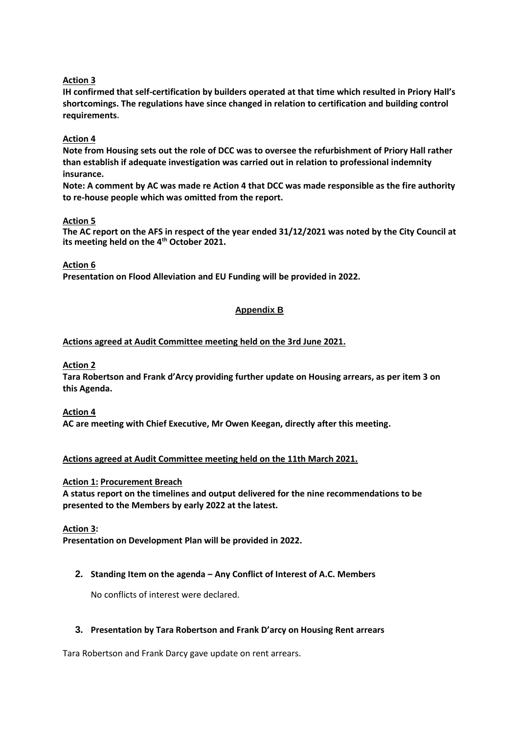# **Action 3**

**IH confirmed that self-certification by builders operated at that time which resulted in Priory Hall's shortcomings. The regulations have since changed in relation to certification and building control requirements.**

# **Action 4**

**Note from Housing sets out the role of DCC was to oversee the refurbishment of Priory Hall rather than establish if adequate investigation was carried out in relation to professional indemnity insurance.** 

**Note: A comment by AC was made re Action 4 that DCC was made responsible as the fire authority to re-house people which was omitted from the report.** 

## **Action 5**

**The AC report on the AFS in respect of the year ended 31/12/2021 was noted by the City Council at its meeting held on the 4th October 2021.**

#### **Action 6**

**Presentation on Flood Alleviation and EU Funding will be provided in 2022.** 

# **Appendix B**

## **Actions agreed at Audit Committee meeting held on the 3rd June 2021.**

#### **Action 2**

**Tara Robertson and Frank d'Arcy providing further update on Housing arrears, as per item 3 on this Agenda.** 

## **Action 4**

**AC are meeting with Chief Executive, Mr Owen Keegan, directly after this meeting.**

## **Actions agreed at Audit Committee meeting held on the 11th March 2021.**

## **Action 1: Procurement Breach**

**A status report on the timelines and output delivered for the nine recommendations to be presented to the Members by early 2022 at the latest.**

## **Action 3:**

**Presentation on Development Plan will be provided in 2022.** 

## **2. Standing Item on the agenda – Any Conflict of Interest of A.C. Members**

No conflicts of interest were declared.

## **3. Presentation by Tara Robertson and Frank D'arcy on Housing Rent arrears**

Tara Robertson and Frank Darcy gave update on rent arrears.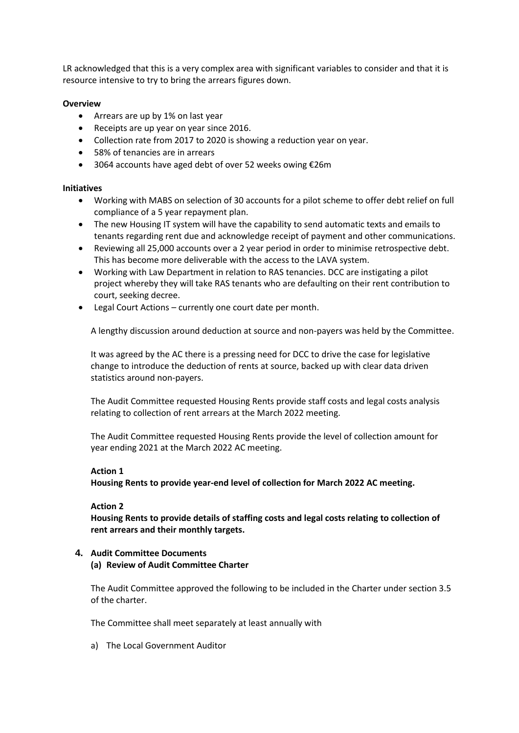LR acknowledged that this is a very complex area with significant variables to consider and that it is resource intensive to try to bring the arrears figures down.

## **Overview**

- Arrears are up by 1% on last year
- Receipts are up year on year since 2016.
- Collection rate from 2017 to 2020 is showing a reduction year on year.
- 58% of tenancies are in arrears
- 3064 accounts have aged debt of over 52 weeks owing €26m

#### **Initiatives**

- Working with MABS on selection of 30 accounts for a pilot scheme to offer debt relief on full compliance of a 5 year repayment plan.
- The new Housing IT system will have the capability to send automatic texts and emails to tenants regarding rent due and acknowledge receipt of payment and other communications.
- Reviewing all 25,000 accounts over a 2 year period in order to minimise retrospective debt. This has become more deliverable with the access to the LAVA system.
- Working with Law Department in relation to RAS tenancies. DCC are instigating a pilot project whereby they will take RAS tenants who are defaulting on their rent contribution to court, seeking decree.
- Legal Court Actions currently one court date per month.

A lengthy discussion around deduction at source and non-payers was held by the Committee.

It was agreed by the AC there is a pressing need for DCC to drive the case for legislative change to introduce the deduction of rents at source, backed up with clear data driven statistics around non-payers.

The Audit Committee requested Housing Rents provide staff costs and legal costs analysis relating to collection of rent arrears at the March 2022 meeting.

The Audit Committee requested Housing Rents provide the level of collection amount for year ending 2021 at the March 2022 AC meeting.

#### **Action 1**

**Housing Rents to provide year-end level of collection for March 2022 AC meeting.** 

#### **Action 2**

**Housing Rents to provide details of staffing costs and legal costs relating to collection of rent arrears and their monthly targets.** 

## **4. Audit Committee Documents**

**(a) Review of Audit Committee Charter** 

The Audit Committee approved the following to be included in the Charter under section 3.5 of the charter.

The Committee shall meet separately at least annually with

a) The Local Government Auditor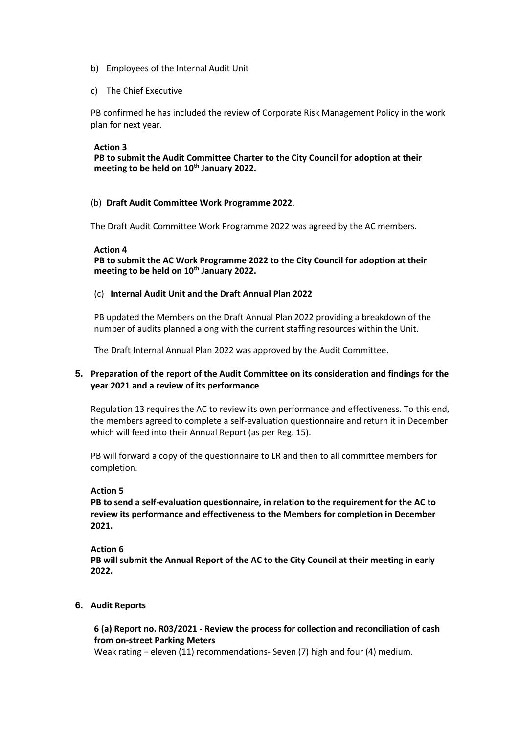- b) Employees of the Internal Audit Unit
- c) The Chief Executive

PB confirmed he has included the review of Corporate Risk Management Policy in the work plan for next year.

#### **Action 3**

**PB to submit the Audit Committee Charter to the City Council for adoption at their meeting to be held on 10th January 2022.** 

#### (b) **Draft Audit Committee Work Programme 2022**.

The Draft Audit Committee Work Programme 2022 was agreed by the AC members.

#### **Action 4**

**PB to submit the AC Work Programme 2022 to the City Council for adoption at their meeting to be held on 10th January 2022.** 

#### (c) **Internal Audit Unit and the Draft Annual Plan 2022**

PB updated the Members on the Draft Annual Plan 2022 providing a breakdown of the number of audits planned along with the current staffing resources within the Unit.

The Draft Internal Annual Plan 2022 was approved by the Audit Committee.

# **5. Preparation of the report of the Audit Committee on its consideration and findings for the year 2021 and a review of its performance**

Regulation 13 requires the AC to review its own performance and effectiveness. To this end, the members agreed to complete a self-evaluation questionnaire and return it in December which will feed into their Annual Report (as per Reg. 15).

PB will forward a copy of the questionnaire to LR and then to all committee members for completion.

## **Action 5**

**PB to send a self-evaluation questionnaire, in relation to the requirement for the AC to review its performance and effectiveness to the Members for completion in December 2021.** 

#### **Action 6**

**PB will submit the Annual Report of the AC to the City Council at their meeting in early 2022.** 

## **6. Audit Reports**

**6 (a) Report no. R03/2021 - Review the process for collection and reconciliation of cash from on-street Parking Meters**

Weak rating – eleven (11) recommendations- Seven (7) high and four (4) medium.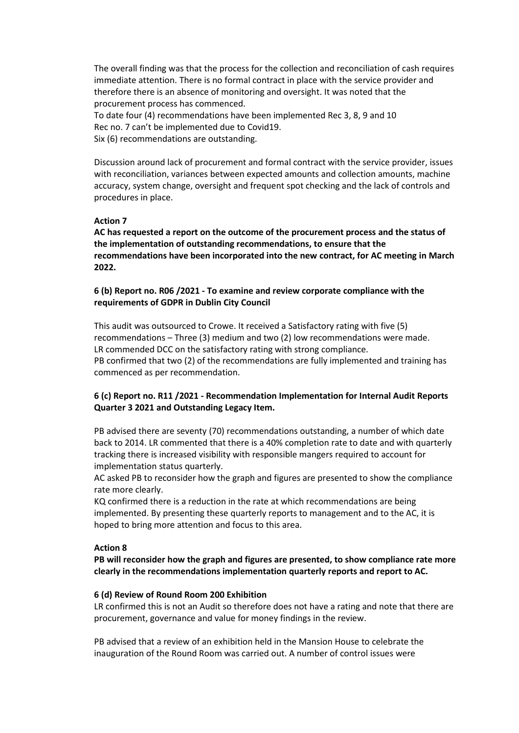The overall finding was that the process for the collection and reconciliation of cash requires immediate attention. There is no formal contract in place with the service provider and therefore there is an absence of monitoring and oversight. It was noted that the procurement process has commenced. To date four (4) recommendations have been implemented Rec 3, 8, 9 and 10

Rec no. 7 can't be implemented due to Covid19.

Six (6) recommendations are outstanding.

Discussion around lack of procurement and formal contract with the service provider, issues with reconciliation, variances between expected amounts and collection amounts, machine accuracy, system change, oversight and frequent spot checking and the lack of controls and procedures in place.

## **Action 7**

**AC has requested a report on the outcome of the procurement process and the status of the implementation of outstanding recommendations, to ensure that the recommendations have been incorporated into the new contract, for AC meeting in March 2022.** 

# **6 (b) Report no. R06 /2021 - To examine and review corporate compliance with the requirements of GDPR in Dublin City Council**

This audit was outsourced to Crowe. It received a Satisfactory rating with five (5) recommendations – Three (3) medium and two (2) low recommendations were made. LR commended DCC on the satisfactory rating with strong compliance. PB confirmed that two (2) of the recommendations are fully implemented and training has commenced as per recommendation.

# **6 (c) Report no. R11 /2021 - Recommendation Implementation for Internal Audit Reports Quarter 3 2021 and Outstanding Legacy Item.**

PB advised there are seventy (70) recommendations outstanding, a number of which date back to 2014. LR commented that there is a 40% completion rate to date and with quarterly tracking there is increased visibility with responsible mangers required to account for implementation status quarterly.

AC asked PB to reconsider how the graph and figures are presented to show the compliance rate more clearly.

KQ confirmed there is a reduction in the rate at which recommendations are being implemented. By presenting these quarterly reports to management and to the AC, it is hoped to bring more attention and focus to this area.

## **Action 8**

**PB will reconsider how the graph and figures are presented, to show compliance rate more clearly in the recommendations implementation quarterly reports and report to AC.**

## **6 (d) Review of Round Room 200 Exhibition**

LR confirmed this is not an Audit so therefore does not have a rating and note that there are procurement, governance and value for money findings in the review.

PB advised that a review of an exhibition held in the Mansion House to celebrate the inauguration of the Round Room was carried out. A number of control issues were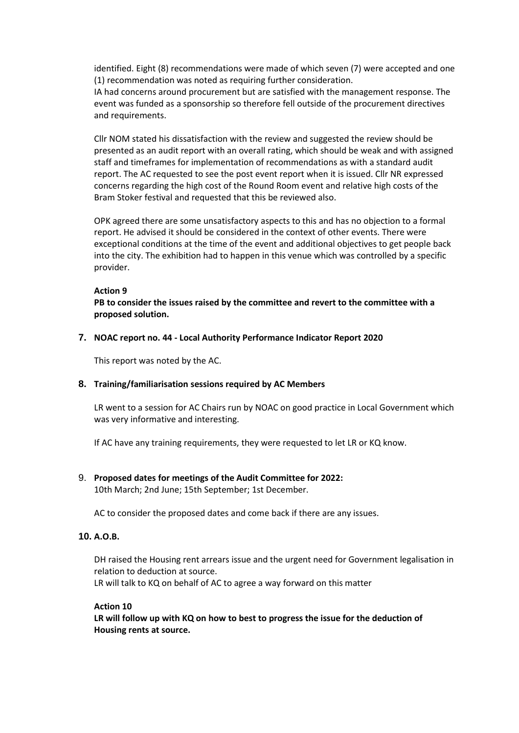identified. Eight (8) recommendations were made of which seven (7) were accepted and one (1) recommendation was noted as requiring further consideration.

IA had concerns around procurement but are satisfied with the management response. The event was funded as a sponsorship so therefore fell outside of the procurement directives and requirements.

Cllr NOM stated his dissatisfaction with the review and suggested the review should be presented as an audit report with an overall rating, which should be weak and with assigned staff and timeframes for implementation of recommendations as with a standard audit report. The AC requested to see the post event report when it is issued. Cllr NR expressed concerns regarding the high cost of the Round Room event and relative high costs of the Bram Stoker festival and requested that this be reviewed also.

OPK agreed there are some unsatisfactory aspects to this and has no objection to a formal report. He advised it should be considered in the context of other events. There were exceptional conditions at the time of the event and additional objectives to get people back into the city. The exhibition had to happen in this venue which was controlled by a specific provider.

#### **Action 9**

**PB to consider the issues raised by the committee and revert to the committee with a proposed solution.**

#### **7. NOAC report no. 44 - Local Authority Performance Indicator Report 2020**

This report was noted by the AC.

## **8. Training/familiarisation sessions required by AC Members**

LR went to a session for AC Chairs run by NOAC on good practice in Local Government which was very informative and interesting.

If AC have any training requirements, they were requested to let LR or KQ know.

## 9. **Proposed dates for meetings of the Audit Committee for 2022:**

10th March; 2nd June; 15th September; 1st December.

AC to consider the proposed dates and come back if there are any issues.

## **10. A.O.B.**

DH raised the Housing rent arrears issue and the urgent need for Government legalisation in relation to deduction at source.

LR will talk to KQ on behalf of AC to agree a way forward on this matter

#### **Action 10**

**LR will follow up with KQ on how to best to progress the issue for the deduction of Housing rents at source.**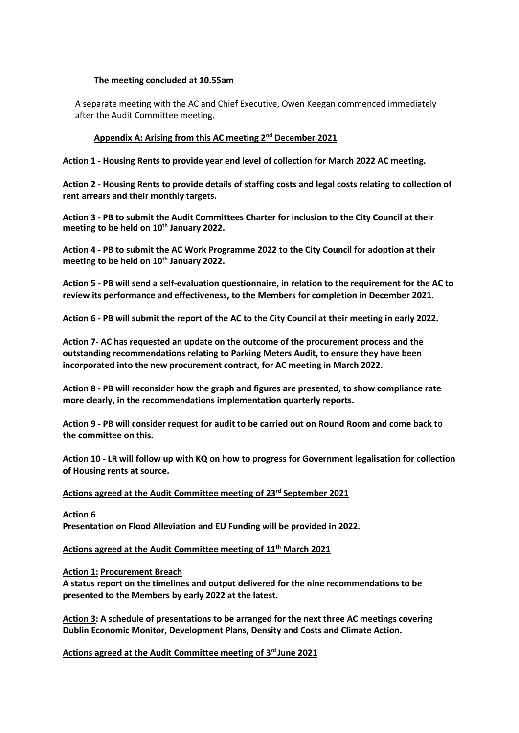#### **The meeting concluded at 10.55am**

A separate meeting with the AC and Chief Executive, Owen Keegan commenced immediately after the Audit Committee meeting.

## **Appendix A: Arising from this AC meeting 2nd December 2021**

**Action 1 - Housing Rents to provide year end level of collection for March 2022 AC meeting.** 

**Action 2 - Housing Rents to provide details of staffing costs and legal costs relating to collection of rent arrears and their monthly targets.** 

**Action 3 - PB to submit the Audit Committees Charter for inclusion to the City Council at their meeting to be held on 10th January 2022.** 

**Action 4 - PB to submit the AC Work Programme 2022 to the City Council for adoption at their meeting to be held on 10th January 2022.** 

**Action 5 - PB will send a self-evaluation questionnaire, in relation to the requirement for the AC to review its performance and effectiveness, to the Members for completion in December 2021.** 

**Action 6 - PB will submit the report of the AC to the City Council at their meeting in early 2022.** 

**Action 7- AC has requested an update on the outcome of the procurement process and the outstanding recommendations relating to Parking Meters Audit, to ensure they have been incorporated into the new procurement contract, for AC meeting in March 2022.** 

**Action 8 - PB will reconsider how the graph and figures are presented, to show compliance rate more clearly, in the recommendations implementation quarterly reports.** 

Action 9 - PB will consider request for audit to be carried out on Round Room and come back to **the committee on this.**

**Action 10 - LR will follow up with KQ on how to progress for Government legalisation for collection of Housing rents at source.** 

#### **Actions agreed at the Audit Committee meeting of 23rd September 2021**

**Action 6 Presentation on Flood Alleviation and EU Funding will be provided in 2022.** 

**Actions agreed at the Audit Committee meeting of 11th March 2021**

**Action 1: Procurement Breach** 

**A status report on the timelines and output delivered for the nine recommendations to be presented to the Members by early 2022 at the latest.**

**Action 3: A schedule of presentations to be arranged for the next three AC meetings covering Dublin Economic Monitor, Development Plans, Density and Costs and Climate Action.** 

**Actions agreed at the Audit Committee meeting of 3 rd June 2021**